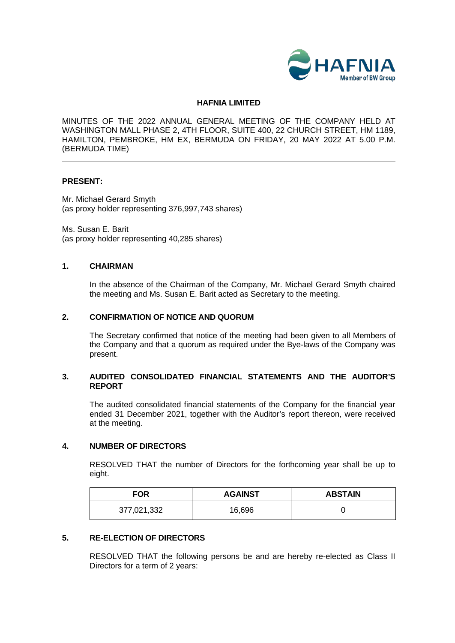

#### **HAFNIA LIMITED**

MINUTES OF THE 2022 ANNUAL GENERAL MEETING OF THE COMPANY HELD AT WASHINGTON MALL PHASE 2, 4TH FLOOR, SUITE 400, 22 CHURCH STREET, HM 1189, HAMILTON, PEMBROKE, HM EX, BERMUDA ON FRIDAY, 20 MAY 2022 AT 5.00 P.M. (BERMUDA TIME)

#### **PRESENT:**

Mr. Michael Gerard Smyth (as proxy holder representing 376,997,743 shares)

Ms. Susan E. Barit (as proxy holder representing 40,285 shares)

#### **1. CHAIRMAN**

In the absence of the Chairman of the Company, Mr. Michael Gerard Smyth chaired the meeting and Ms. Susan E. Barit acted as Secretary to the meeting.

#### **2. CONFIRMATION OF NOTICE AND QUORUM**

The Secretary confirmed that notice of the meeting had been given to all Members of the Company and that a quorum as required under the Bye-laws of the Company was present.

#### **3. AUDITED CONSOLIDATED FINANCIAL STATEMENTS AND THE AUDITOR'S REPORT**

The audited consolidated financial statements of the Company for the financial year ended 31 December 2021, together with the Auditor's report thereon, were received at the meeting.

# **4. NUMBER OF DIRECTORS**

RESOLVED THAT the number of Directors for the forthcoming year shall be up to eight.

| <b>FOR</b>  | <b>AGAINST</b> | <b>ABSTAIN</b> |
|-------------|----------------|----------------|
| 377,021,332 | 16,696         |                |

#### **5. RE-ELECTION OF DIRECTORS**

RESOLVED THAT the following persons be and are hereby re-elected as Class II Directors for a term of 2 years: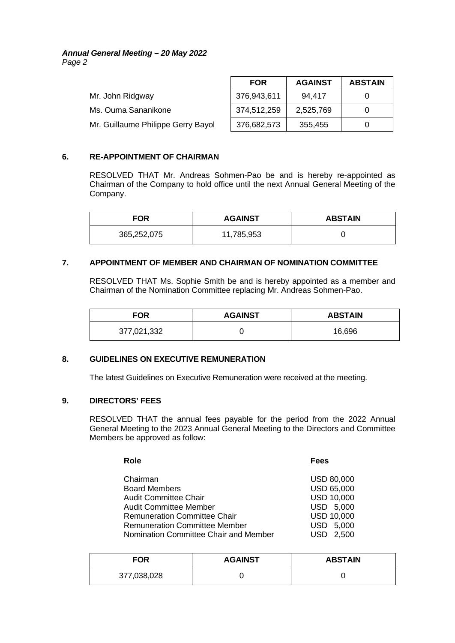#### *Annual General Meeting – 20 May 2022 Page 2*

|                                    | <b>FOR</b>  | <b>AGAINST</b> | <b>ABSTAIN</b> |
|------------------------------------|-------------|----------------|----------------|
| Mr. John Ridgway                   | 376,943,611 | 94,417         |                |
| Ms. Ouma Sananikone                | 374,512,259 | 2,525,769      |                |
| Mr. Guillaume Philippe Gerry Bayol | 376,682,573 | 355,455        |                |

# **6. RE-APPOINTMENT OF CHAIRMAN**

RESOLVED THAT Mr. Andreas Sohmen-Pao be and is hereby re-appointed as Chairman of the Company to hold office until the next Annual General Meeting of the Company.

| <b>FOR</b>  | <b>AGAINST</b> | <b>ABSTAIN</b> |
|-------------|----------------|----------------|
| 365,252,075 | 11,785,953     |                |

# **7. APPOINTMENT OF MEMBER AND CHAIRMAN OF NOMINATION COMMITTEE**

RESOLVED THAT Ms. Sophie Smith be and is hereby appointed as a member and Chairman of the Nomination Committee replacing Mr. Andreas Sohmen-Pao.

| FOR         | <b>AGAINST</b> | <b>ABSTAIN</b> |
|-------------|----------------|----------------|
| 377,021,332 |                | 16,696         |

# **8. GUIDELINES ON EXECUTIVE REMUNERATION**

The latest Guidelines on Executive Remuneration were received at the meeting.

# **9. DIRECTORS' FEES**

RESOLVED THAT the annual fees payable for the period from the 2022 Annual General Meeting to the 2023 Annual General Meeting to the Directors and Committee Members be approved as follow:

| Role                                  | Fees              |
|---------------------------------------|-------------------|
| Chairman                              | <b>USD 80,000</b> |
| <b>Board Members</b>                  | <b>USD 65,000</b> |
| <b>Audit Committee Chair</b>          | <b>USD 10,000</b> |
| <b>Audit Committee Member</b>         | USD 5,000         |
| <b>Remuneration Committee Chair</b>   | <b>USD 10,000</b> |
| <b>Remuneration Committee Member</b>  | USD 5,000         |
| Nomination Committee Chair and Member | 2.500             |

| <b>FOR</b>  | <b>AGAINST</b> | <b>ABSTAIN</b> |
|-------------|----------------|----------------|
| 377,038,028 |                |                |